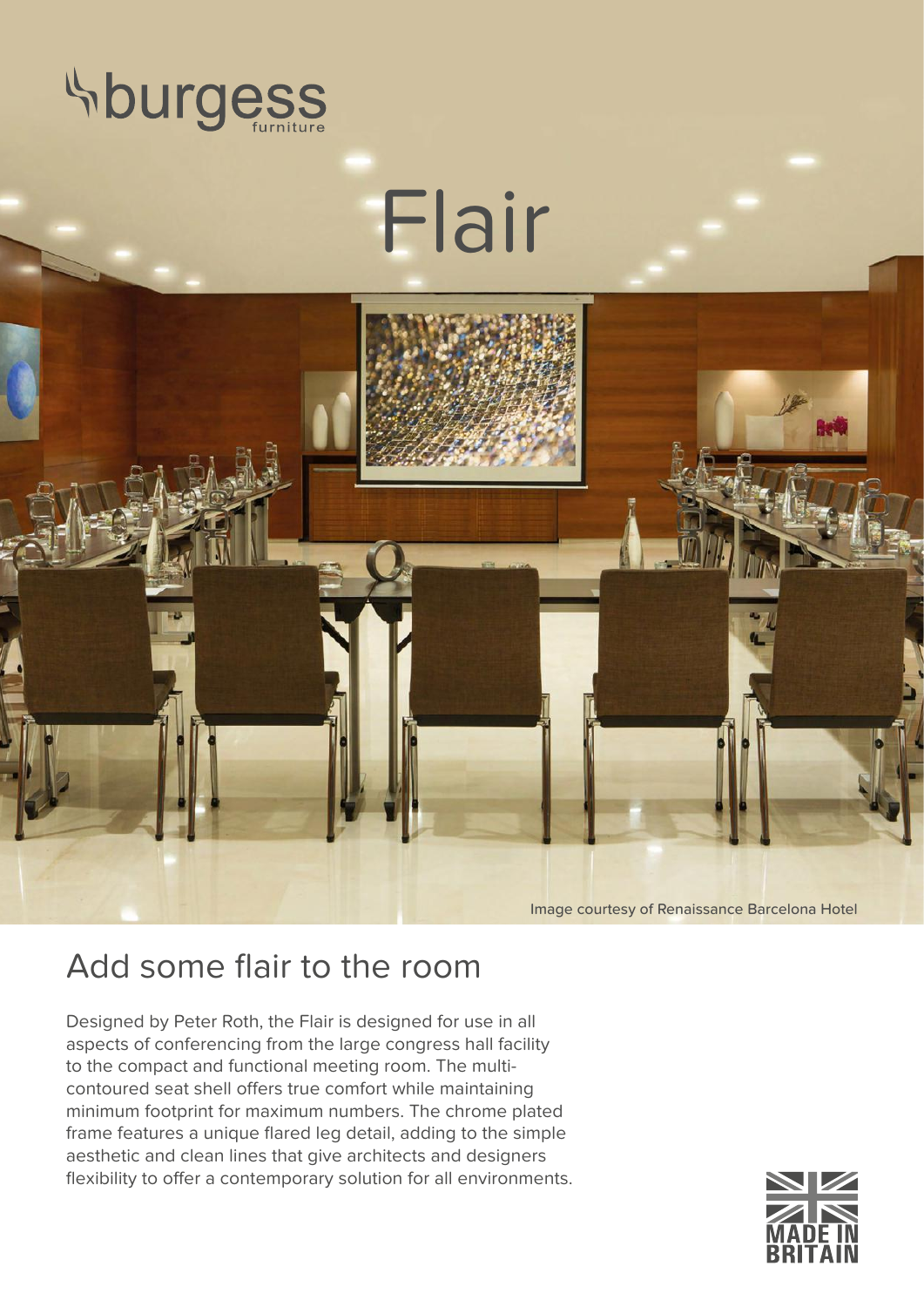

## Flair



Image courtesy of Renaissance Barcelona Hotel

## Add some flair to the room

Designed by Peter Roth, the Flair is designed for use in all aspects of conferencing from the large congress hall facility to the compact and functional meeting room. The multicontoured seat shell offers true comfort while maintaining minimum footprint for maximum numbers. The chrome plated frame features a unique flared leg detail, adding to the simple aesthetic and clean lines that give architects and designers flexibility to offer a contemporary solution for all environments.